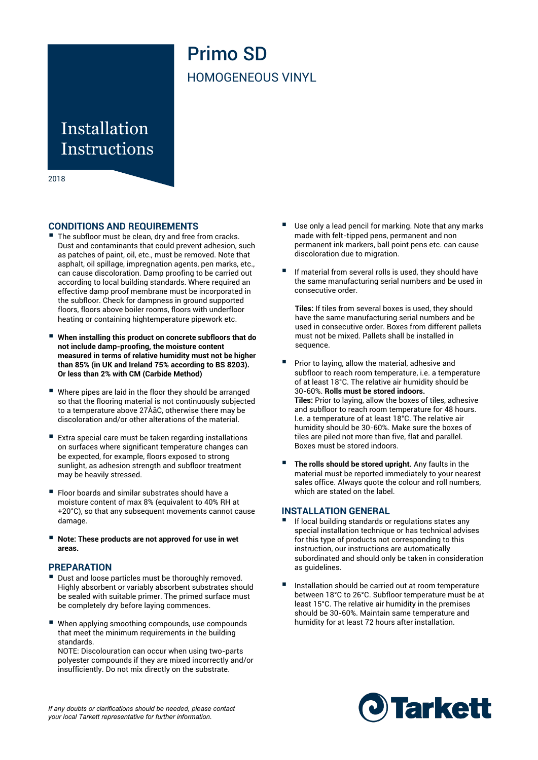# Primo SD HOMOGENEOUS VINYL

# Installation **Instructions**

2018

# **CONDITIONS AND REQUIREMENTS**

- The subfloor must be clean, dry and free from cracks. Dust and contaminants that could prevent adhesion, such as patches of paint, oil, etc., must be removed. Note that asphalt, oil spillage, impregnation agents, pen marks, etc., can cause discoloration. Damp proofing to be carried out according to local building standards. Where required an effective damp proof membrane must be incorporated in the subfloor. Check for dampness in ground supported floors, floors above boiler rooms, floors with underfloor heating or containing hightemperature pipework etc.
- § **When installing this product on concrete subfloors that do not include damp-proofing, the moisture content measured in terms of relative humidity must not be higher than 85% (in UK and Ireland 75% according to BS 8203). Or less than 2% with CM (Carbide Method)**
- Where pipes are laid in the floor they should be arranged so that the flooring material is not continuously subjected to a temperature above 27ÅãC, otherwise there may be discoloration and/or other alterations of the material.
- Extra special care must be taken regarding installations on surfaces where significant temperature changes can be expected, for example, floors exposed to strong sunlight, as adhesion strength and subfloor treatment may be heavily stressed.
- Floor boards and similar substrates should have a moisture content of max 8% (equivalent to 40% RH at +20°C), so that any subsequent movements cannot cause damage.
- § **Note: These products are not approved for use in wet areas.**

### **PREPARATION**

- Dust and loose particles must be thoroughly removed. Highly absorbent or variably absorbent substrates should be sealed with suitable primer. The primed surface must be completely dry before laying commences.
- When applying smoothing compounds, use compounds that meet the minimum requirements in the building standards.

NOTE: Discolouration can occur when using two-parts polyester compounds if they are mixed incorrectly and/or insufficiently. Do not mix directly on the substrate.

- Use only a lead pencil for marking. Note that any marks made with felt-tipped pens, permanent and non permanent ink markers, ball point pens etc. can cause discoloration due to migration.
- If material from several rolls is used, they should have the same manufacturing serial numbers and be used in consecutive order.

**Tiles:** If tiles from several boxes is used, they should have the same manufacturing serial numbers and be used in consecutive order. Boxes from different pallets must not be mixed. Pallets shall be installed in sequence.

- § Prior to laying, allow the material, adhesive and subfloor to reach room temperature, i.e. a temperature of at least 18°C. The relative air humidity should be 30-60%. **Rolls must be stored indoors. Tiles:** Prior to laying, allow the boxes of tiles, adhesive and subfloor to reach room temperature for 48 hours. I.e. a temperature of at least 18°C. The relative air humidity should be 30-60%. Make sure the boxes of tiles are piled not more than five, flat and parallel. Boxes must be stored indoors.
- § **The rolls should be stored upright.** Any faults in the material must be reported immediately to your nearest sales office. Always quote the colour and roll numbers, which are stated on the label.

### **INSTALLATION GENERAL**

- If local building standards or regulations states any special installation technique or has technical advises for this type of products not corresponding to this instruction, our instructions are automatically subordinated and should only be taken in consideration as guidelines.
- Installation should be carried out at room temperature between 18°C to 26°C. Subfloor temperature must be at least 15°C. The relative air humidity in the premises should be 30-60%. Maintain same temperature and humidity for at least 72 hours after installation.

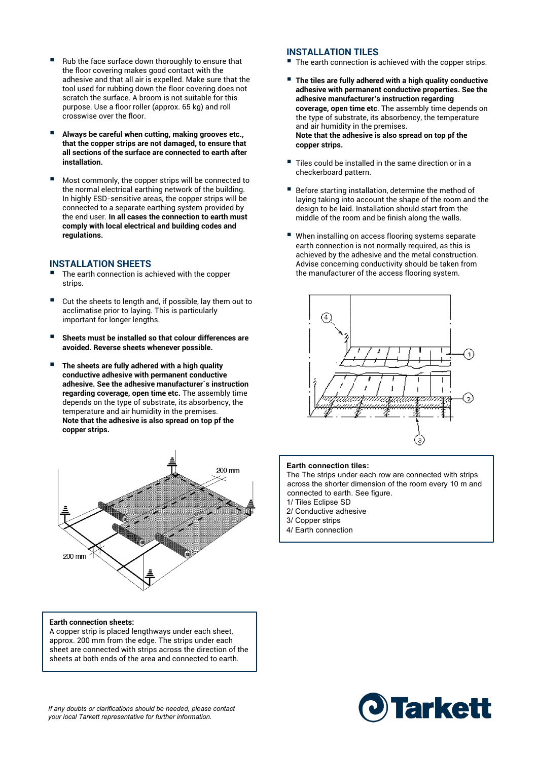- § Rub the face surface down thoroughly to ensure that the floor covering makes good contact with the adhesive and that all air is expelled. Make sure that the tool used for rubbing down the floor covering does not scratch the surface. A broom is not suitable for this purpose. Use a floor roller (approx. 65 kg) and roll crosswise over the floor.
- § **Always be careful when cutting, making grooves etc., that the copper strips are not damaged, to ensure that all sections of the surface are connected to earth after installation.**
- § Most commonly, the copper strips will be connected to the normal electrical earthing network of the building. In highly ESD-sensitive areas, the copper strips will be connected to a separate earthing system provided by the end user. **In all cases the connection to earth must comply with local electrical and building codes and regulations.**

- **INSTALLATION SHEETS**<br>■ The earth connection is achieved with the copper strips.
- Cut the sheets to length and, if possible, lay them out to acclimatise prior to laying. This is particularly important for longer lengths.
- § **Sheets must be installed so that colour differences are avoided. Reverse sheets whenever possible.**
- § **The sheets are fully adhered with a high quality conductive adhesive with permanent conductive adhesive. See the adhesive manufacturer´s instruction regarding coverage, open time etc.** The assembly time depends on the type of substrate, its absorbency, the temperature and air humidity in the premises. **Note that the adhesive is also spread on top pf the copper strips.**



#### **Earth connection sheets:**

A copper strip is placed lengthways under each sheet, approx. 200 mm from the edge. The strips under each sheet are connected with strips across the direction of the sheets at both ends of the area and connected to earth.

### **INSTALLATION TILES**

- The earth connection is achieved with the copper strips.
- § **The tiles are fully adhered with a high quality conductive adhesive with permanent conductive properties. See the adhesive manufacturer's instruction regarding coverage, open time etc**. The assembly time depends on the type of substrate, its absorbency, the temperature and air humidity in the premises. **Note that the adhesive is also spread on top pf the copper strips.**
- Tiles could be installed in the same direction or in a checkerboard pattern.
- Before starting installation, determine the method of laying taking into account the shape of the room and the design to be laid. Installation should start from the middle of the room and be finish along the walls.
- When installing on access flooring systems separate earth connection is not normally required, as this is achieved by the adhesive and the metal construction. Advise concerning conductivity should be taken from the manufacturer of the access flooring system.



#### **Earth connection tiles:**

The The strips under each row are connected with strips across the shorter dimension of the room every 10 m and connected to earth. See figure. 1/ Tiles Eclipse SD

- 2/ Conductive adhesive
- 3/ Copper strips
- 4/ Earth connection